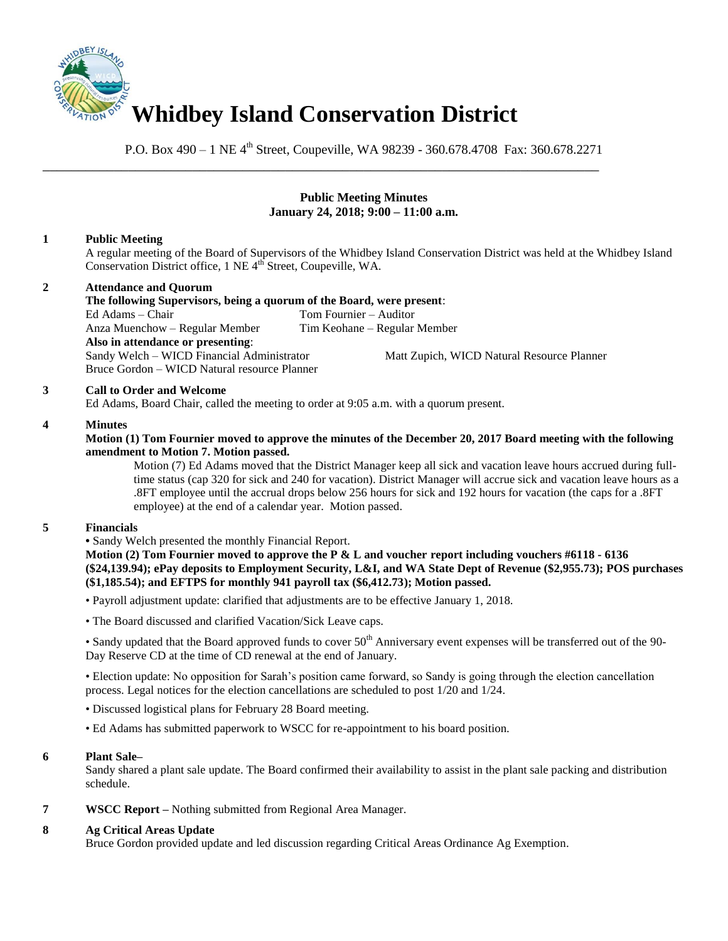

P.O. Box 490 – 1 NE 4<sup>th</sup> Street, Coupeville, WA 98239 - 360.678.4708 Fax: 360.678.2271

\_\_\_\_\_\_\_\_\_\_\_\_\_\_\_\_\_\_\_\_\_\_\_\_\_\_\_\_\_\_\_\_\_\_\_\_\_\_\_\_\_\_\_\_\_\_\_\_\_\_\_\_\_\_\_\_\_\_\_\_\_\_\_\_\_\_\_\_\_\_\_\_\_\_\_\_\_\_

### **Public Meeting Minutes January 24, 2018; 9:00 – 11:00 a.m.**

# **1 Public Meeting**

A regular meeting of the Board of Supervisors of the Whidbey Island Conservation District was held at the Whidbey Island Conservation District office, 1 NE 4<sup>th</sup> Street, Coupeville, WA.

### **2 Attendance and Quorum**

**The following Supervisors, being a quorum of the Board, were present**: Ed Adams – Chair Tom Fournier – Auditor Anza Muenchow – Regular Member Tim Keohane – Regular Member **Also in attendance or presenting**: Sandy Welch – WICD Financial Administrator Matt Zupich, WICD Natural Resource Planner Bruce Gordon – WICD Natural resource Planner

### **3 Call to Order and Welcome**

Ed Adams, Board Chair, called the meeting to order at 9:05 a.m. with a quorum present.

### **4 Minutes**

### **Motion (1) Tom Fournier moved to approve the minutes of the December 20, 2017 Board meeting with the following amendment to Motion 7. Motion passed.**

Motion (7) Ed Adams moved that the District Manager keep all sick and vacation leave hours accrued during fulltime status (cap 320 for sick and 240 for vacation). District Manager will accrue sick and vacation leave hours as a .8FT employee until the accrual drops below 256 hours for sick and 192 hours for vacation (the caps for a .8FT employee) at the end of a calendar year. Motion passed.

### **5 Financials**

**•** Sandy Welch presented the monthly Financial Report.

**Motion (2) Tom Fournier moved to approve the P & L and voucher report including vouchers #6118 - 6136 (\$24,139.94); ePay deposits to Employment Security, L&I, and WA State Dept of Revenue (\$2,955.73); POS purchases (\$1,185.54); and EFTPS for monthly 941 payroll tax (\$6,412.73); Motion passed.** 

• Payroll adjustment update: clarified that adjustments are to be effective January 1, 2018.

• The Board discussed and clarified Vacation/Sick Leave caps.

• Sandy updated that the Board approved funds to cover  $50<sup>th</sup>$  Anniversary event expenses will be transferred out of the 90-Day Reserve CD at the time of CD renewal at the end of January.

• Election update: No opposition for Sarah's position came forward, so Sandy is going through the election cancellation process. Legal notices for the election cancellations are scheduled to post 1/20 and 1/24.

• Discussed logistical plans for February 28 Board meeting.

• Ed Adams has submitted paperwork to WSCC for re-appointment to his board position.

### **6 Plant Sale–**

Sandy shared a plant sale update. The Board confirmed their availability to assist in the plant sale packing and distribution schedule.

**7 WSCC Report –** Nothing submitted from Regional Area Manager.

# **8 Ag Critical Areas Update**

Bruce Gordon provided update and led discussion regarding Critical Areas Ordinance Ag Exemption.